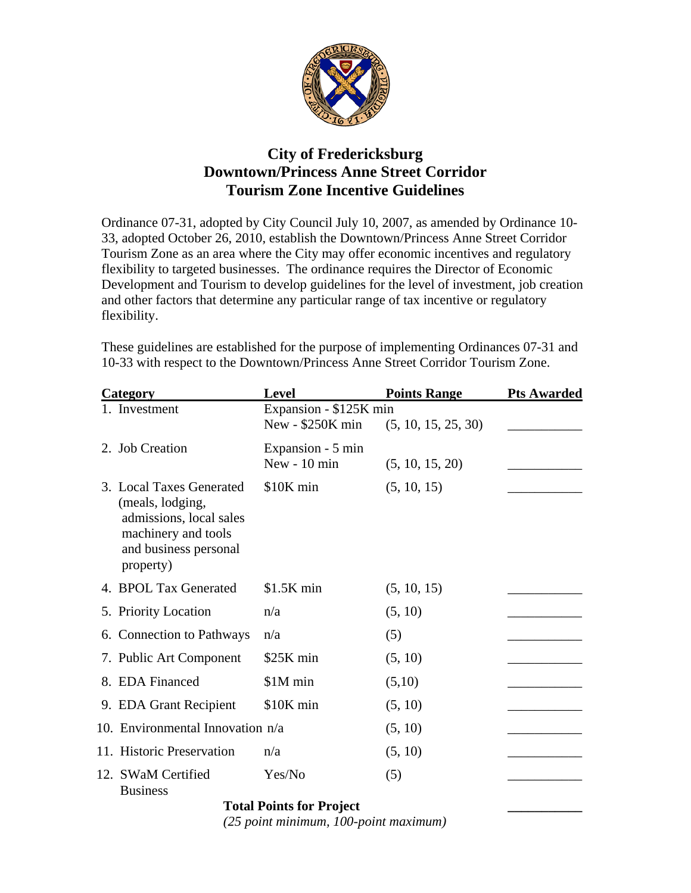

## **City of Fredericksburg Downtown/Princess Anne Street Corridor Tourism Zone Incentive Guidelines**

Ordinance 07-31, adopted by City Council July 10, 2007, as amended by Ordinance 10- 33, adopted October 26, 2010, establish the Downtown/Princess Anne Street Corridor Tourism Zone as an area where the City may offer economic incentives and regulatory flexibility to targeted businesses. The ordinance requires the Director of Economic Development and Tourism to develop guidelines for the level of investment, job creation and other factors that determine any particular range of tax incentive or regulatory flexibility.

These guidelines are established for the purpose of implementing Ordinances 07-31 and 10-33 with respect to the Downtown/Princess Anne Street Corridor Tourism Zone.

| Category                                                                                                                             | <b>Level</b>           | <b>Points Range</b> | <b>Pts Awarded</b> |  |
|--------------------------------------------------------------------------------------------------------------------------------------|------------------------|---------------------|--------------------|--|
| 1. Investment                                                                                                                        | Expansion - \$125K min |                     |                    |  |
|                                                                                                                                      | New - \$250K min       | (5, 10, 15, 25, 30) |                    |  |
| 2. Job Creation                                                                                                                      | Expansion - 5 min      |                     |                    |  |
|                                                                                                                                      | New - 10 min           | (5, 10, 15, 20)     |                    |  |
| 3. Local Taxes Generated<br>(meals, lodging,<br>admissions, local sales<br>machinery and tools<br>and business personal<br>property) | \$10K min              | (5, 10, 15)         |                    |  |
| 4. BPOL Tax Generated                                                                                                                | $$1.5K$ min            | (5, 10, 15)         |                    |  |
| 5. Priority Location                                                                                                                 | n/a                    | (5, 10)             |                    |  |
| 6. Connection to Pathways                                                                                                            | n/a                    | (5)                 |                    |  |
| 7. Public Art Component                                                                                                              | \$25K min              | (5, 10)             |                    |  |
| 8. EDA Financed                                                                                                                      | \$1M min               | (5,10)              |                    |  |
| 9. EDA Grant Recipient                                                                                                               | \$10K min              | (5, 10)             |                    |  |
| 10. Environmental Innovation n/a                                                                                                     |                        | (5, 10)             |                    |  |
| 11. Historic Preservation                                                                                                            | n/a                    | (5, 10)             |                    |  |
| 12. SWaM Certified<br><b>Business</b>                                                                                                | Yes/No                 | (5)                 |                    |  |
| <b>Total Points for Project</b>                                                                                                      |                        |                     |                    |  |

 *(25 point minimum, 100-point maximum)*